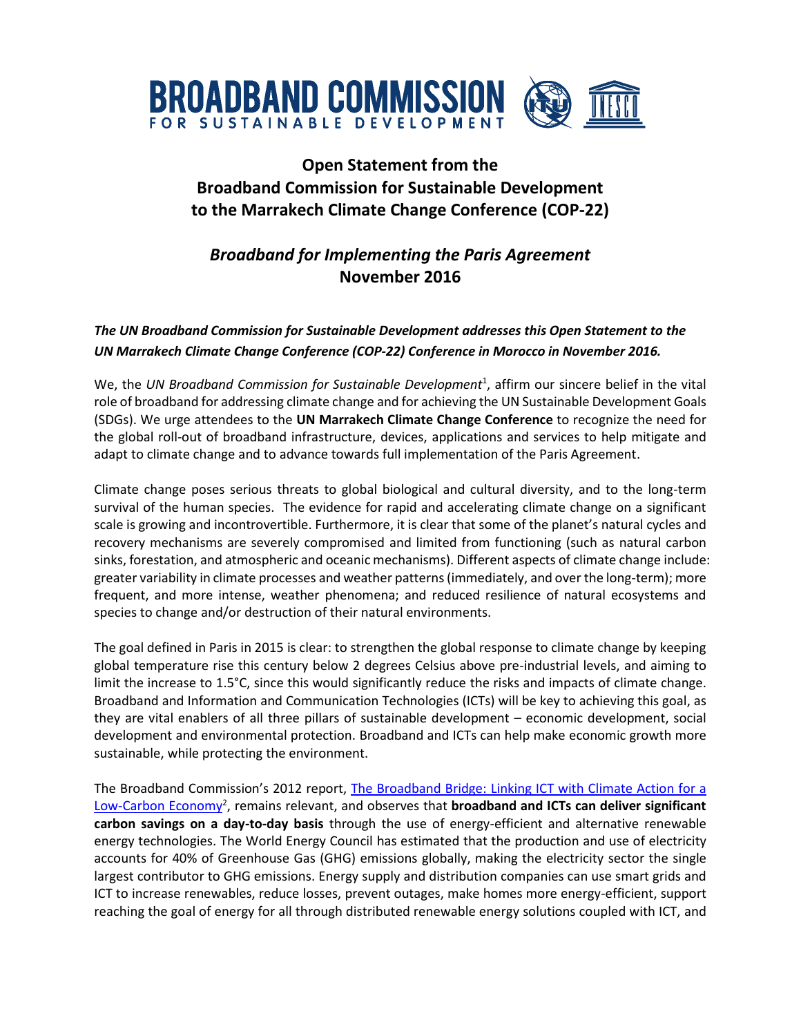

## **Open Statement from the Broadband Commission for Sustainable Development to the Marrakech Climate Change Conference (COP-22)**

## *Broadband for Implementing the Paris Agreement* **November 2016**

## *The UN Broadband Commission for Sustainable Development addresses this Open Statement to the UN Marrakech Climate Change Conference (COP-22) Conference in Morocco in November 2016.*

We, the *UN Broadband Commission for Sustainable Development*<sup>1</sup> , affirm our sincere belief in the vital role of broadband for addressing climate change and for achieving the UN Sustainable Development Goals (SDGs). We urge attendees to the **UN Marrakech Climate Change Conference** to recognize the need for the global roll-out of broadband infrastructure, devices, applications and services to help mitigate and adapt to climate change and to advance towards full implementation of the Paris Agreement.

Climate change poses serious threats to global biological and cultural diversity, and to the long-term survival of the human species. The evidence for rapid and accelerating climate change on a significant scale is growing and incontrovertible. Furthermore, it is clear that some of the planet's natural cycles and recovery mechanisms are severely compromised and limited from functioning (such as natural carbon sinks, forestation, and atmospheric and oceanic mechanisms). Different aspects of climate change include: greater variability in climate processes and weather patterns (immediately, and over the long-term); more frequent, and more intense, weather phenomena; and reduced resilience of natural ecosystems and species to change and/or destruction of their natural environments.

The goal defined in Paris in 2015 is clear: to strengthen the global response to climate change by keeping global temperature rise this century below 2 degrees Celsius above pre-industrial levels, and aiming to limit the increase to 1.5°C, since this would significantly reduce the risks and impacts of climate change. Broadband and Information and Communication Technologies (ICTs) will be key to achieving this goal, as they are vital enablers of all three pillars of sustainable development – economic development, social development and environmental protection. Broadband and ICTs can help make economic growth more sustainable, while protecting the environment.

The Broadband Commission's 2012 report, [The Broadband Bridge: Linking ICT with Climate Action for a](http://www.broadbandcommission.org/Documents/publications/BD-bbcomm-climate.pdf)  [Low-Carbon Economy](http://www.broadbandcommission.org/Documents/publications/BD-bbcomm-climate.pdf)<sup>2</sup>, remains relevant, and observes that **broadband and ICTs can deliver significant carbon savings on a day-to-day basis** through the use of energy-efficient and alternative renewable energy technologies. The World Energy Council has estimated that the production and use of electricity accounts for 40% of Greenhouse Gas (GHG) emissions globally, making the electricity sector the single largest contributor to GHG emissions. Energy supply and distribution companies can use smart grids and ICT to increase renewables, reduce losses, prevent outages, make homes more energy-efficient, support reaching the goal of energy for all through distributed renewable energy solutions coupled with ICT, and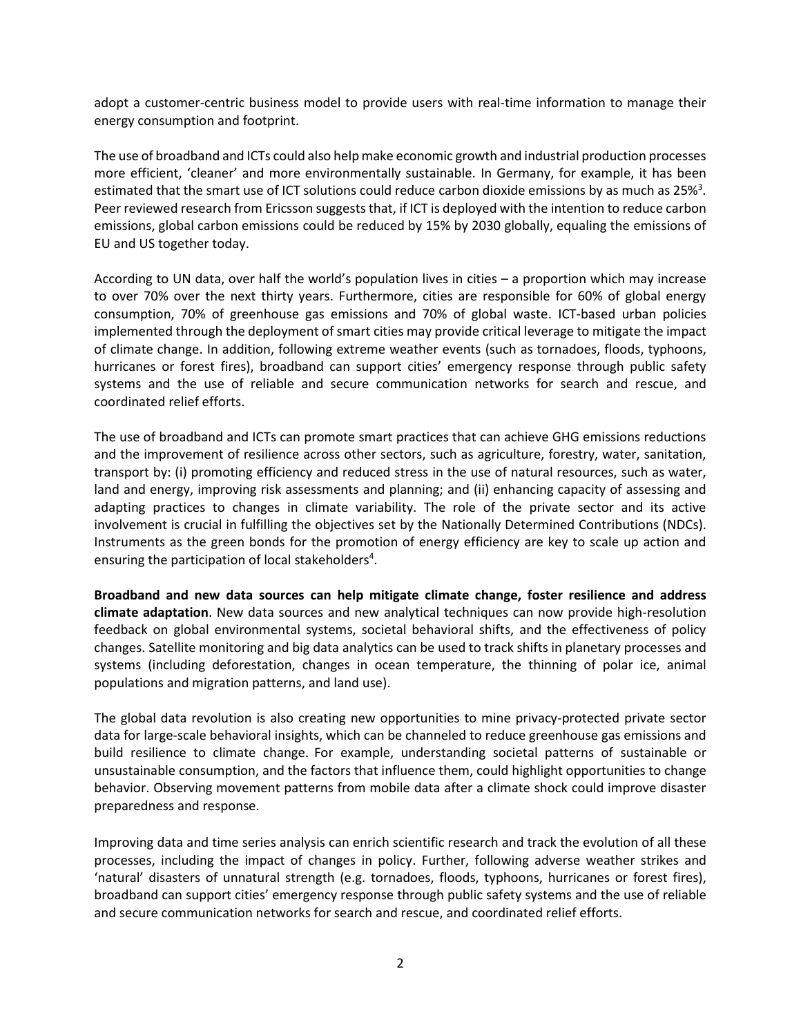adopt a customer-centric business model to provide users with real-time information to manage their energy consumption and footprint.

The use of broadband and ICTs could also help make economic growth and industrial production processes more efficient, 'cleaner' and more environmentally sustainable. In Germany, for example, it has been estimated that the smart use of ICT solutions could reduce carbon dioxide emissions by as much as 25%<sup>3</sup>. Peer reviewed research from Ericsson suggests that, if ICT is deployed with the intention to reduce carbon emissions, global carbon emissions could be reduced by 15% by 2030 globally, equaling the emissions of EU and US together today.

According to UN data, over half the world's population lives in cities – a proportion which may increase to over 70% over the next thirty years. Furthermore, cities are responsible for 60% of global energy consumption, 70% of greenhouse gas emissions and 70% of global waste. ICT-based urban policies implemented through the deployment of smart cities may provide critical leverage to mitigate the impact of climate change. In addition, following extreme weather events (such as tornadoes, floods, typhoons, hurricanes or forest fires), broadband can support cities' emergency response through public safety systems and the use of reliable and secure communication networks for search and rescue, and coordinated relief efforts.

The use of broadband and ICTs can promote smart practices that can achieve GHG emissions reductions and the improvement of resilience across other sectors, such as agriculture, forestry, water, sanitation, transport by: (i) promoting efficiency and reduced stress in the use of natural resources, such as water, land and energy, improving risk assessments and planning; and (ii) enhancing capacity of assessing and adapting practices to changes in climate variability. The role of the private sector and its active involvement is crucial in fulfilling the objectives set by the Nationally Determined Contributions (NDCs). Instruments as the green bonds for the promotion of energy efficiency are key to scale up action and ensuring the participation of local stakeholders<sup>4</sup>.

**Broadband and new data sources can help mitigate climate change, foster resilience and address climate adaptation**. New data sources and new analytical techniques can now provide high-resolution feedback on global environmental systems, societal behavioral shifts, and the effectiveness of policy changes. Satellite monitoring and big data analytics can be used to track shifts in planetary processes and systems (including deforestation, changes in ocean temperature, the thinning of polar ice, animal populations and migration patterns, and land use).

The global data revolution is also creating new opportunities to mine privacy-protected private sector data for large-scale behavioral insights, which can be channeled to reduce greenhouse gas emissions and build resilience to climate change. For example, understanding societal patterns of sustainable or unsustainable consumption, and the factors that influence them, could highlight opportunities to change behavior. Observing movement patterns from mobile data after a climate shock could improve disaster preparedness and response.

Improving data and time series analysis can enrich scientific research and track the evolution of all these processes, including the impact of changes in policy. Further, following adverse weather strikes and 'natural' disasters of unnatural strength (e.g. tornadoes, floods, typhoons, hurricanes or forest fires), broadband can support cities' emergency response through public safety systems and the use of reliable and secure communication networks for search and rescue, and coordinated relief efforts.